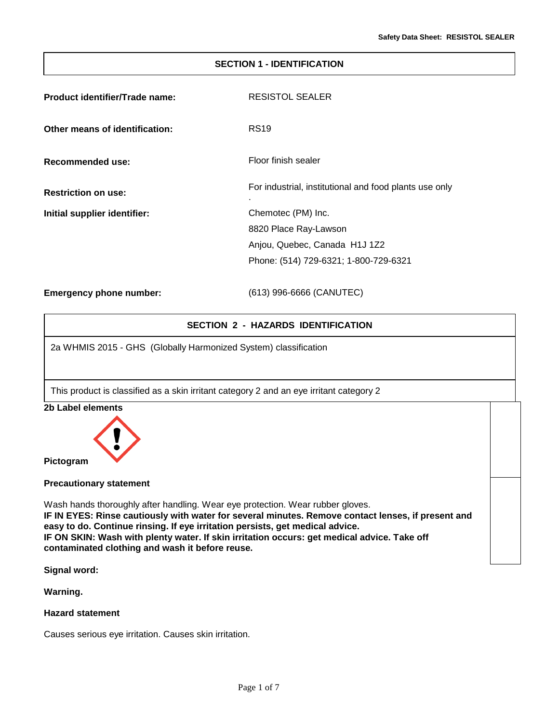#### **SECTION 1 - IDENTIFICATION**

| <b>Product identifier/Trade name:</b> | <b>RESISTOL SEALER</b>                                 |
|---------------------------------------|--------------------------------------------------------|
| Other means of identification:        | <b>RS19</b>                                            |
| Recommended use:                      | Floor finish sealer                                    |
| <b>Restriction on use:</b>            | For industrial, institutional and food plants use only |
| Initial supplier identifier:          | Chemotec (PM) Inc.                                     |
|                                       | 8820 Place Ray-Lawson                                  |
|                                       | Anjou, Quebec, Canada H1J 1Z2                          |
|                                       | Phone: (514) 729-6321; 1-800-729-6321                  |
|                                       |                                                        |

**Emergency phone number:** (613) 996-6666 (CANUTEC)

## **SECTION 2 - HAZARDS IDENTIFICATION**

2a WHMIS 2015 - GHS (Globally Harmonized System) classification

This product is classified as a skin irritant category 2 and an eye irritant category 2

## **2b Label elements**



**Pictogram** 

**Precautionary statement**

Wash hands thoroughly after handling. Wear eye protection. Wear rubber gloves. **IF IN EYES: Rinse cautiously with water for several minutes. Remove contact lenses, if present and easy to do. Continue rinsing. If eye irritation persists, get medical advice. IF ON SKIN: Wash with plenty water. If skin irritation occurs: get medical advice. Take off contaminated clothing and wash it before reuse.**

**Signal word:**

**Warning.**

## **Hazard statement**

Causes serious eye irritation. Causes skin irritation.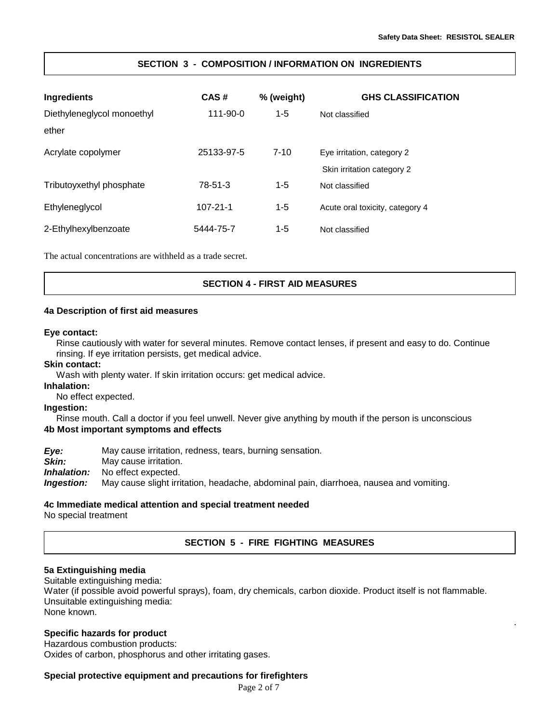.

## **SECTION 3 - COMPOSITION / INFORMATION ON INGREDIENTS**

| Ingredients                | CAS#           | % (weight) | <b>GHS CLASSIFICATION</b>       |
|----------------------------|----------------|------------|---------------------------------|
| Diethyleneglycol monoethyl | 111-90-0       | $1 - 5$    | Not classified                  |
| ether                      |                |            |                                 |
| Acrylate copolymer         | 25133-97-5     | $7 - 10$   | Eye irritation, category 2      |
|                            |                |            | Skin irritation category 2      |
| Tributoyxethyl phosphate   | 78-51-3        | $1 - 5$    | Not classified                  |
| Ethyleneglycol             | $107 - 21 - 1$ | $1 - 5$    | Acute oral toxicity, category 4 |
| 2-Ethylhexylbenzoate       | 5444-75-7      | $1 - 5$    | Not classified                  |

The actual concentrations are withheld as a trade secret.

## **SECTION 4 - FIRST AID MEASURES**

## **4a Description of first aid measures**

#### **Eye contact:**

Rinse cautiously with water for several minutes. Remove contact lenses, if present and easy to do. Continue rinsing. If eye irritation persists, get medical advice.

#### **Skin contact:**

Wash with plenty water. If skin irritation occurs: get medical advice.

#### **Inhalation:**

No effect expected.

#### **Ingestion:**

Rinse mouth. Call a doctor if you feel unwell. Never give anything by mouth if the person is unconscious **4b Most important symptoms and effects**

*Eye:* May cause irritation, redness, tears, burning sensation.

**Skin:** May cause irritation.

*Inhalation:* No effect expected.

*Ingestion:* May cause slight irritation, headache, abdominal pain, diarrhoea, nausea and vomiting.

## **4c Immediate medical attention and special treatment needed**

No special treatment

## **SECTION 5 - FIRE FIGHTING MEASURES**

## **5a Extinguishing media**

Suitable extinguishing media: Water (if possible avoid powerful sprays), foam, dry chemicals, carbon dioxide. Product itself is not flammable. Unsuitable extinguishing media: None known.

## **Specific hazards for product**

Hazardous combustion products: Oxides of carbon, phosphorus and other irritating gases.

## **Special protective equipment and precautions for firefighters**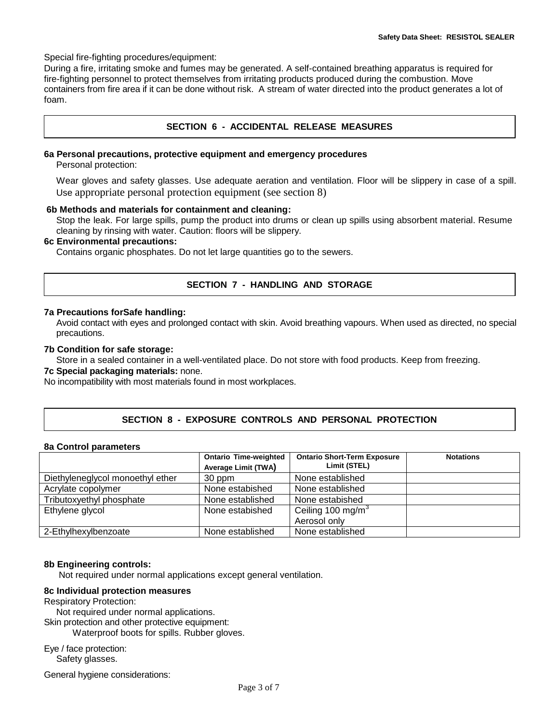Special fire-fighting procedures/equipment:

During a fire, irritating smoke and fumes may be generated. A self-contained breathing apparatus is required for fire-fighting personnel to protect themselves from irritating products produced during the combustion. Move containers from fire area if it can be done without risk. A stream of water directed into the product generates a lot of foam.

## **SECTION 6 - ACCIDENTAL RELEASE MEASURES**

#### **6a Personal precautions, protective equipment and emergency procedures**

Personal protection:

Wear gloves and safety glasses. Use adequate aeration and ventilation. Floor will be slippery in case of a spill. Use appropriate personal protection equipment (see section 8)

#### **6b Methods and materials for containment and cleaning:**

Stop the leak. For large spills, pump the product into drums or clean up spills using absorbent material. Resume cleaning by rinsing with water. Caution: floors will be slippery.

## **6c Environmental precautions:**

Contains organic phosphates. Do not let large quantities go to the sewers.

## **SECTION 7 - HANDLING AND STORAGE**

#### **7a Precautions forSafe handling:**

Avoid contact with eyes and prolonged contact with skin. Avoid breathing vapours. When used as directed, no special precautions.

#### **7b Condition for safe storage:**

Store in a sealed container in a well-ventilated place. Do not store with food products. Keep from freezing.

#### **7c Special packaging materials:** none.

No incompatibility with most materials found in most workplaces.

## **SECTION 8 - EXPOSURE CONTROLS AND PERSONAL PROTECTION**

## **8a Control parameters**

|                                  | <b>Ontario Time-weighted</b> | <b>Ontario Short-Term Exposure</b> | <b>Notations</b> |
|----------------------------------|------------------------------|------------------------------------|------------------|
|                                  | <b>Average Limit (TWA)</b>   | Limit (STEL)                       |                  |
| Diethyleneglycol monoethyl ether | 30 ppm                       | None established                   |                  |
| Acrylate copolymer               | None estabished              | None established                   |                  |
| Tributoxyethyl phosphate         | None established             | None estabished                    |                  |
| Ethylene glycol                  | None estabished              | Ceiling 100 mg/m <sup>3</sup>      |                  |
|                                  |                              | Aerosol only                       |                  |
| 2-Ethylhexylbenzoate             | None established             | None established                   |                  |

## **8b Engineering controls:**

Not required under normal applications except general ventilation.

#### **8c Individual protection measures**

Respiratory Protection:

Not required under normal applications.

Skin protection and other protective equipment:

Waterproof boots for spills. Rubber gloves.

Eye / face protection: Safety glasses.

General hygiene considerations: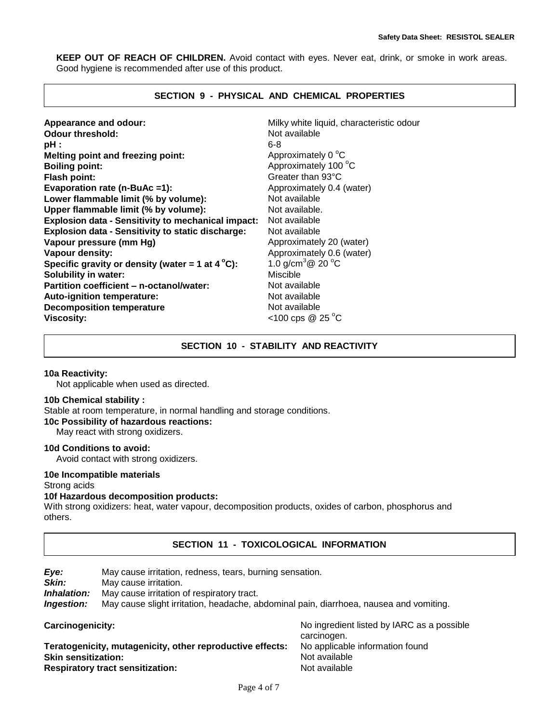**KEEP OUT OF REACH OF CHILDREN.** Avoid contact with eyes. Never eat, drink, or smoke in work areas. Good hygiene is recommended after use of this product.

## **SECTION 9 - PHYSICAL AND CHEMICAL PROPERTIES**

| Appearance and odour:                                     | Milky white liquid, characteristic odour    |
|-----------------------------------------------------------|---------------------------------------------|
| <b>Odour threshold:</b>                                   | Not available                               |
| pH :                                                      | $6 - 8$                                     |
| <b>Melting point and freezing point:</b>                  | Approximately 0 °C                          |
| <b>Boiling point:</b>                                     | Approximately 100 °C                        |
| <b>Flash point:</b>                                       | Greater than 93°C                           |
| Evaporation rate (n-BuAc =1):                             | Approximately 0.4 (water)                   |
| Lower flammable limit (% by volume):                      | Not available                               |
| Upper flammable limit (% by volume):                      | Not available.                              |
| <b>Explosion data - Sensitivity to mechanical impact:</b> | Not available                               |
| Explosion data - Sensitivity to static discharge:         | Not available                               |
| Vapour pressure (mm Hg)                                   | Approximately 20 (water)                    |
| <b>Vapour density:</b>                                    | Approximately 0.6 (water)                   |
| Specific gravity or density (water = 1 at $4^{\circ}$ C): | 1.0 g/cm <sup>3</sup> $@$ 20 <sup>o</sup> C |
| <b>Solubility in water:</b>                               | Miscible                                    |
| Partition coefficient - n-octanol/water:                  | Not available                               |
| Auto-ignition temperature:                                | Not available                               |
| <b>Decomposition temperature</b>                          | Not available                               |
| Viscosity:                                                | <100 cps @ 25 $^{\circ}$ C                  |

## **SECTION 10 - STABILITY AND REACTIVITY**

#### **10a Reactivity:**

Not applicable when used as directed.

#### **10b Chemical stability :**

Stable at room temperature, in normal handling and storage conditions. **10c Possibility of hazardous reactions:**

May react with strong oxidizers.

#### **10d Conditions to avoid:**

Avoid contact with strong oxidizers.

#### **10e Incompatible materials**

Strong acids

## **10f Hazardous decomposition product***s***:**

With strong oxidizers: heat, water vapour, decomposition products, oxides of carbon, phosphorus and others.

## **SECTION 11 - TOXICOLOGICAL INFORMATION**

| Eye:                      | May cause irritation, redness, tears, burning sensation.                               |
|---------------------------|----------------------------------------------------------------------------------------|
| Skin:                     | May cause irritation.                                                                  |
| <i><b>Inhalation:</b></i> | May cause irritation of respiratory tract.                                             |
| <i><b>Ingestion:</b></i>  | May cause slight irritation, headache, abdominal pain, diarrhoea, nausea and vomiting. |
|                           |                                                                                        |

**Teratogenicity, mutagenicity, other reproductive effects:** No applicable information found<br>Skin sensitization: Not available **Skin sensitization: Respiratory tract sensitization:** Not available

**Carcinogenicity:** Carcinogenicity:  $\blacksquare$  No ingredient listed by IARC as a possible carcinogen.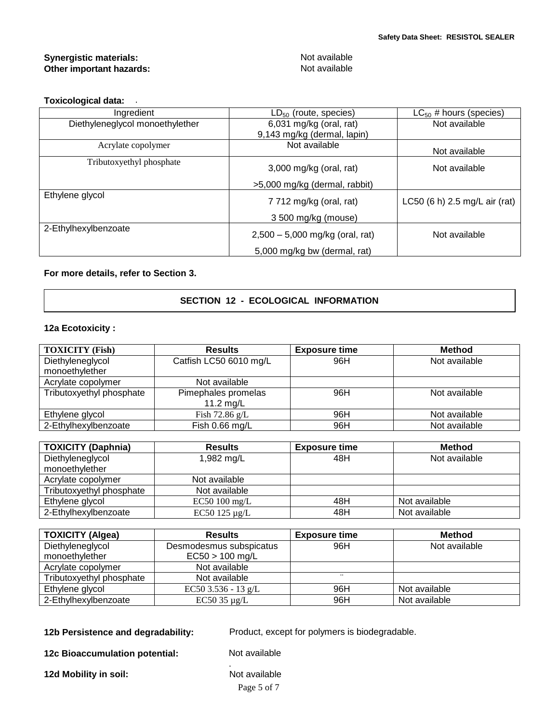## **Synergistic materials:** Not available of the materials: Not available of the moortant hazards: Not available of the moortant hazards: **Other important hazards:**

## **Toxicological data:** .

| Ingredient                      | $LD_{50}$ (route, species)        | $LC_{50}$ # hours (species)   |
|---------------------------------|-----------------------------------|-------------------------------|
| Diethyleneglycol monoethylether | $6,031$ mg/kg (oral, rat)         | Not available                 |
|                                 | 9,143 mg/kg (dermal, lapin)       |                               |
| Acrylate copolymer              | Not available                     | Not available                 |
| Tributoxyethyl phosphate        | $3,000$ mg/kg (oral, rat)         | Not available                 |
|                                 | >5,000 mg/kg (dermal, rabbit)     |                               |
| Ethylene glycol                 | 7 712 mg/kg (oral, rat)           | LC50 (6 h) 2.5 mg/L air (rat) |
|                                 | 3 500 mg/kg (mouse)               |                               |
| 2-Ethylhexylbenzoate            | $2,500 - 5,000$ mg/kg (oral, rat) | Not available                 |
|                                 | 5,000 mg/kg bw (dermal, rat)      |                               |

## **For more details, refer to Section 3.**

## **SECTION 12 - ECOLOGICAL INFORMATION**

## **12a Ecotoxicity :**

| <b>TOXICITY (Fish)</b>   | <b>Results</b>         | <b>Exposure time</b> | <b>Method</b> |
|--------------------------|------------------------|----------------------|---------------|
| Diethyleneglycol         | Catfish LC50 6010 mg/L | 96H                  | Not available |
| monoethylether           |                        |                      |               |
| Acrylate copolymer       | Not available          |                      |               |
| Tributoxyethyl phosphate | Pimephales promelas    | 96H                  | Not available |
|                          | 11.2 $mg/L$            |                      |               |
| Ethylene glycol          | Fish $72.86$ g/L       | 96H                  | Not available |
| 2-Ethylhexylbenzoate     | Fish 0.66 mg/L         | 96H                  | Not available |

| <b>TOXICITY (Daphnia)</b> | <b>Results</b> | <b>Exposure time</b> | <b>Method</b> |
|---------------------------|----------------|----------------------|---------------|
| Diethyleneglycol          | 1,982 mg/L     | 48H                  | Not available |
| monoethylether            |                |                      |               |
| Acrylate copolymer        | Not available  |                      |               |
| Tributoxyethyl phosphate  | Not available  |                      |               |
| Ethylene glycol           | $EC50100$ mg/L | 48H                  | Not available |
| 2-Ethylhexylbenzoate      | EC50 125 µg/L  | 48H                  | Not available |

| <b>TOXICITY (Algea)</b>  | <b>Results</b>          | <b>Exposure time</b> | <b>Method</b> |
|--------------------------|-------------------------|----------------------|---------------|
| Diethyleneglycol         | Desmodesmus subspicatus | 96H                  | Not available |
| monoethylether           | $EC50 > 100$ mg/L       |                      |               |
| Acrylate copolymer       | Not available           |                      |               |
| Tributoxyethyl phosphate | Not available           |                      |               |
| Ethylene glycol          | EC50 3.536 - 13 g/L     | 96H                  | Not available |
| 2-Ethylhexylbenzoate     | EC50 35 $\mu$ g/L       | 96H                  | Not available |

**12b Persistence and degradability:** Product, except for polymers is biodegradable.

**12c Bioaccumulation potential:** Not available

**12d Mobility in soil:** 

Page 5 of 7 Not available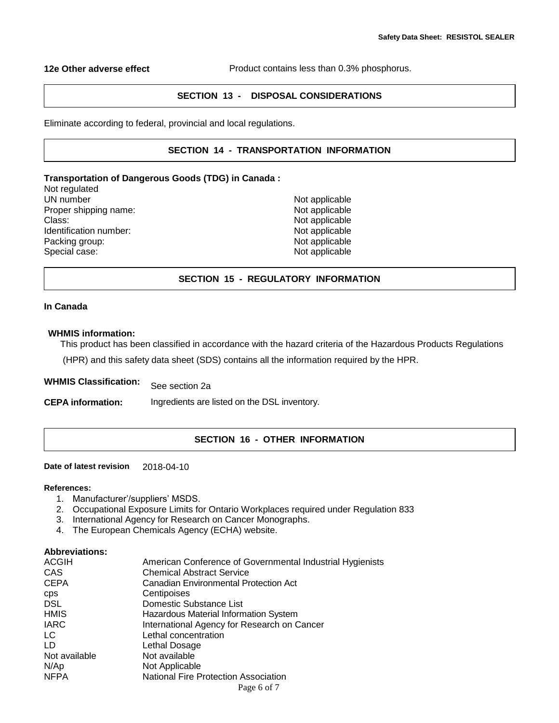**12e Other adverse effect** Product contains less than 0.3% phosphorus.

## **SECTION 13 - DISPOSAL CONSIDERATIONS**

Eliminate according to federal, provincial and local regulations.

## **SECTION 14 - TRANSPORTATION INFORMATION**

## **Transportation of Dangerous Goods (TDG) in Canada :**

Not regulated UN number Not applicable Proper shipping name: Not applicable Class:<br>
Identification number:<br>
Identification number:<br>
Not applicable Identification number: Not applicable<br>
Packing group: Not applicable<br>
Not applicable Packing group: Special case: Not applicable

## **SECTION 15 - REGULATORY INFORMATION**

### **In Canada**

#### **WHMIS information:**

This product has been classified in accordance with the hazard criteria of the Hazardous Products Regulations

(HPR) and this safety data sheet (SDS) contains all the information required by the HPR.

# **WHMIS Classification:** See section 2a

**CEPA information:** Ingredients are listed on the DSL inventory.

## **SECTION 16 - OTHER INFORMATION**

## **Date of latest revision** 2018-04-10

#### **References:**

- 1. Manufacturer'/suppliers' MSDS.
- 2. Occupational Exposure Limits for Ontario Workplaces required under Regulation 833
- 3. International Agency for Research on Cancer Monographs.
- 4. The European Chemicals Agency (ECHA) website.

#### **Abbreviations:**

| <b>ACGIH</b>  | American Conference of Governmental Industrial Hygienists |
|---------------|-----------------------------------------------------------|
| CAS           | <b>Chemical Abstract Service</b>                          |
| <b>CEPA</b>   | Canadian Environmental Protection Act                     |
| <b>CDS</b>    | Centipoises                                               |
| <b>DSL</b>    | Domestic Substance List                                   |
| <b>HMIS</b>   | Hazardous Material Information System                     |
| <b>IARC</b>   | International Agency for Research on Cancer               |
| LC            | Lethal concentration                                      |
| LD            | Lethal Dosage                                             |
| Not available | Not available                                             |
| N/Ap          | Not Applicable                                            |
| <b>NFPA</b>   | <b>National Fire Protection Association</b>               |
|               |                                                           |